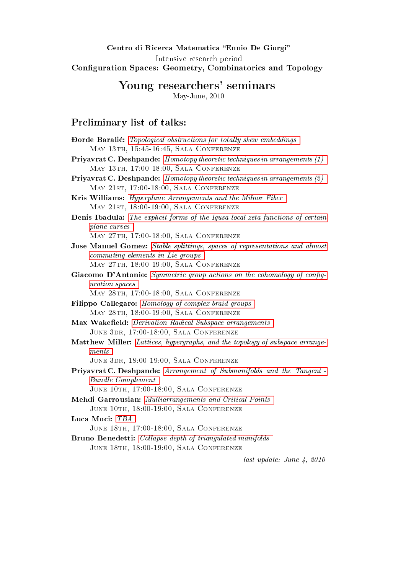### Centro di Ricerca Matematica "Ennio De Giorgi" Intensive research period Configuration Spaces: Geometry, Combinatorics and Topology

# Young researchers' seminars

May-June, 2010

# <span id="page-0-0"></span>Preliminary list of talks:

| <b>Đorđe Baralić:</b> Topological obstructions for totally skew embeddings            |
|---------------------------------------------------------------------------------------|
| MAY 13TH, 15:45-16:45, SALA CONFERENZE                                                |
| <b>Priyavrat C. Deshpande:</b> Homotopy theoretic techniques in arrangements (1)      |
| MAY 13TH, 17:00-18:00, SALA CONFERENZE                                                |
| <b>Priyavrat C. Deshpande:</b> Homotopy theoretic techniques in arrangements (2)      |
| MAY 21ST, 17:00-18:00, SALA CONFERENZE                                                |
| Kris Williams: Hyperplane Arrangements and the Milnor Fiber                           |
| MAY 21ST, 18:00-19:00, SALA CONFERENZE                                                |
| <b>Denis Ibadula:</b> The explicit forms of the Igusa local zeta functions of certain |
| plane curves                                                                          |
| MAY 27TH, 17:00-18:00, SALA CONFERENZE                                                |
| Jose Manuel Gomez: Stable splittings, spaces of representations and almost            |
| commuting elements in Lie groups                                                      |
| MAY 27TH, 18:00-19:00, SALA CONFERENZE                                                |
| Giacomo D'Antonio: Symmetric group actions on the cohomology of config-               |
| uration spaces                                                                        |
| MAY 28TH, 17:00-18:00, SALA CONFERENZE                                                |
| Filippo Callegaro: Homology of complex braid groups                                   |
| MAY 28TH, 18:00-19:00, SALA CONFERENZE                                                |
| Max Wakefield: Derivation Radical Subspace arrangements                               |
| JUNE 3DR, 17:00-18:00, SALA CONFERENZE                                                |
| Matthew Miller: Lattices, hypergraphs, and the topology of subspace arrange-          |
| ments                                                                                 |
| JUNE 3DR, 18:00-19:00, SALA CONFERENZE                                                |
| Priyavrat C. Deshpande: Arrangement of Submanifolds and the Tangent -                 |
| <b>Bundle Complement</b>                                                              |
| JUNE 10TH, 17:00-18:00, SALA CONFERENZE                                               |
| Mehdi Garrousian: Multiarrangements and Critical Points                               |
| JUNE 10TH, 18:00-19:00, SALA CONFERENZE                                               |
| Luca Moci: TBA                                                                        |
| JUNE 18TH, 17:00-18:00, SALA CONFERENZE                                               |
| <b>Bruno Benedetti:</b> Collapse depth of triangulated manifolds                      |
| JUNE 18TH, 18:00-19:00, SALA CONFERENZE                                               |
|                                                                                       |

last update: June 4, 2010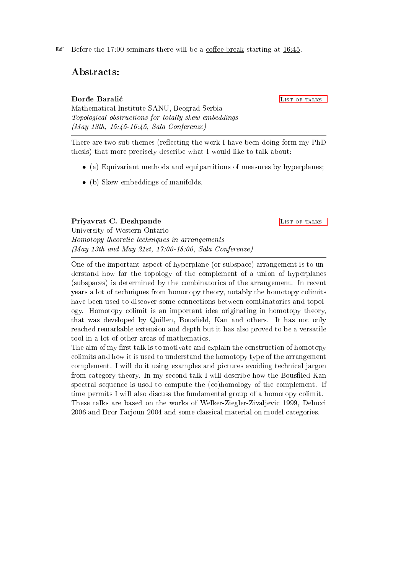$\mathbb{F}$  Before the 17:00 seminars there will be a coffee break starting at 16:45.

Abstracts:

<span id="page-1-0"></span>**Dorde Baralić** LIST OF TALKS Mathematical Institute SANU, Beograd Serbia Topological obstructions for totally skew embeddings (May 13th, 15:45-16:45, Sala Conferenze)

There are two sub-themes (reflecting the work I have been doing form my PhD thesis) that more precisely describe what I would like to talk about:

- (a) Equivariant methods and equipartitions of measures by hyperplanes;
- (b) Skew embeddings of manifolds.

<span id="page-1-1"></span>Priyavrat C. Deshpande List of TALKS

University of Western Ontario Homotopy theoretic techniques in arrangements (May 13th and May 21st, 17:00-18:00, Sala Conferenze)

One of the important aspect of hyperplane (or subspace) arrangement is to understand how far the topology of the complement of a union of hyperplanes (subspaces) is determined by the combinatorics of the arrangement. In recent years a lot of techniques from homotopy theory, notably the homotopy colimits have been used to discover some connections between combinatorics and topology. Homotopy colimit is an important idea originating in homotopy theory, that was developed by Quillen, Bousfield, Kan and others. It has not only reached remarkable extension and depth but it has also proved to be a versatile tool in a lot of other areas of mathematics.

The aim of my first talk is to motivate and explain the construction of homotopy colimits and how it is used to understand the homotopy type of the arrangement complement. I will do it using examples and pictures avoiding technical jargon from category theory. In my second talk I will describe how the Bousfiled-Kan spectral sequence is used to compute the (co)homology of the complement. If time permits I will also discuss the fundamental group of a homotopy colimit. These talks are based on the works of Welker-Ziegler-Zivaljevic 1999, Delucci 2006 and Dror Farjoun 2004 and some classical material on model categories.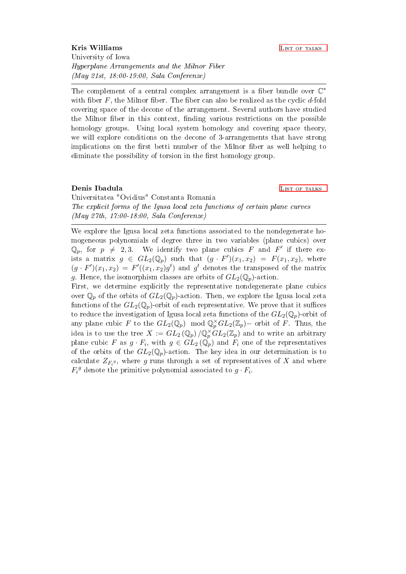<span id="page-2-0"></span>**Kris Williams** LIST OF TALKS University of Iowa Hyperplane Arrangements and the Milnor Fiber (May 21st, 18:00-19:00, Sala Conferenze)

The complement of a central complex arrangement is a fiber bundle over  $\mathbb{C}^*$ with fiber  $F$ , the Milnor fiber. The fiber can also be realized as the cyclic  $d$ -fold covering space of the decone of the arrangement. Several authors have studied the Milnor fiber in this context, finding various restrictions on the possible homology groups. Using local system homology and covering space theory, we will explore conditions on the decone of 3-arrangements that have strong implications on the first betti number of the Milnor fiber as well helping to eliminate the possibility of torsion in the first homology group.

#### <span id="page-2-1"></span>**Denis Ibadula** LIST OF TALKS

Universitatea "Ovidius" Constanta Romania The explicit forms of the Igusa local zeta functions of certain plane curves (May 27th, 17:00-18:00, Sala Conferenze)

We explore the Igusa local zeta functions associated to the nondegenerate homogeneous polynomials of degree three in two variables (plane cubics) over  $\mathbb{Q}_p$ , for  $p \neq 2, 3$ . We identify two plane cubics F and F' if there exists a matrix  $g \in GL_2(\mathbb{Q}_p)$  such that  $(g \cdot F')(x_1, x_2) = F(x_1, x_2)$ , where  $(g \cdot F')(x_1, x_2) = F'((x_1, x_2)g^t)$  and  $g^t$  denotes the transposed of the matrix g. Hence, the isomorphism classes are orbits of  $GL_2(\mathbb{Q}_p)$ -action.

First, we determine explicitly the representative nondegenerate plane cubics over  $\mathbb{Q}_p$  of the orbits of  $GL_2(\mathbb{Q}_p)$ -action. Then, we explore the Igusa local zeta functions of the  $GL_2(\mathbb{Q}_p)$ -orbit of each representative. We prove that it suffices to reduce the investigation of Igusa local zeta functions of the  $GL_2(\mathbb{Q}_p)$ -orbit of any plane cubic F to the  $GL_2(\mathbb{Q}_p) \mod \mathbb{Q}_p^{\times} GL_2(\mathbb{Z}_p)$  orbit of F. Thus, the idea is to use the tree  $X := GL_2(\mathbb{Q}_p) / \mathbb{Q}_p^{\times} GL_2(\mathbb{Z}_p)$  and to write an arbitrary plane cubic F as  $g \cdot F_i$ , with  $g \in GL_2(\mathbb{Q}_p)$  and  $F_i$  one of the representatives of the orbits of the  $GL_2(\mathbb{Q}_p)$ -action. The key idea in our determination is to calculate  $Z_{F_i}$ s, where g runs through a set of representatives of  $X$  and where  $F_i^g$  denote the primitive polynomial associated to  $g \cdot F_i$ .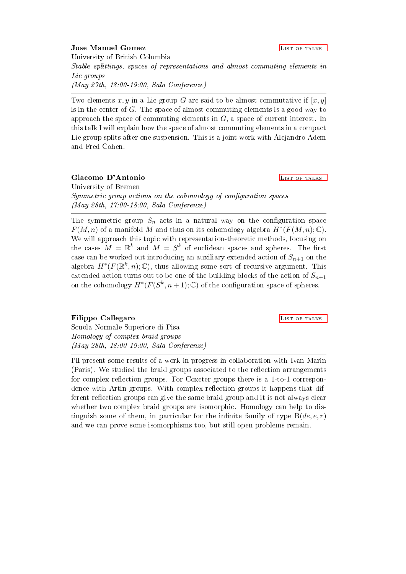### <span id="page-3-0"></span>**Jose Manuel Gomez**   $L$  [List of talks](#page-0-0)

University of British Columbia Stable splittings, spaces of representations and almost commuting elements in Lie groups (May 27th, 18:00-19:00, Sala Conferenze)

Two elements x, y in a Lie group G are said to be almost commutative if  $[x, y]$ is in the center of  $G$ . The space of almost commuting elements is a good way to approach the space of commuting elements in G, a space of current interest. In this talk I will explain how the space of almost commuting elements in a compact Lie group splits after one suspension. This is a joint work with Alejandro Adem and Fred Cohen.

<span id="page-3-1"></span>Giacomo D'Antonio antico di controllato di la controllato di la controllato di la controllato di la controllato University of Bremen Symmetric group actions on the cohomology of configuration spaces (May 28th, 17:00-18:00, Sala Conferenze)

The symmetric group  $S_n$  acts in a natural way on the configuration space  $F(M, n)$  of a manifold M and thus on its cohomology algebra  $H^*(F(M, n); \mathbb{C})$ . We will approach this topic with representation-theoretic methods, focusing on the cases  $M = \mathbb{R}^k$  and  $M = S^k$  of euclidean spaces and spheres. The first case can be worked out introducing an auxiliary extended action of  $S_{n+1}$  on the algebra  $H^*(F(\mathbb{R}^k,n);\mathbb{C})$ , thus allowing some sort of recursive argument. This extended action turns out to be one of the building blocks of the action of  $S_{n+1}$ on the cohomology  $H^*(F(S^k, n+1); \mathbb{C})$  of the configuration space of spheres.

<span id="page-3-2"></span>**Filippo Callegaro LIST OF TALKS** Scuola Normale Superiore di Pisa Homology of complex braid groups (May 28th, 18:00-19:00, Sala Conferenze)

I'll present some results of a work in progress in collaboration with Ivan Marin (Paris). We studied the braid groups associated to the reflection arrangements for complex reflection groups. For Coxeter groups there is a  $1$ -to-1 correspondence with Artin groups. With complex reflection groups it happens that different reflection groups can give the same braid group and it is not always clear whether two complex braid groups are isomorphic. Homology can help to distinguish some of them, in particular for the infinite family of type  $B(de, e, r)$ and we can prove some isomorphisms too, but still open problems remain.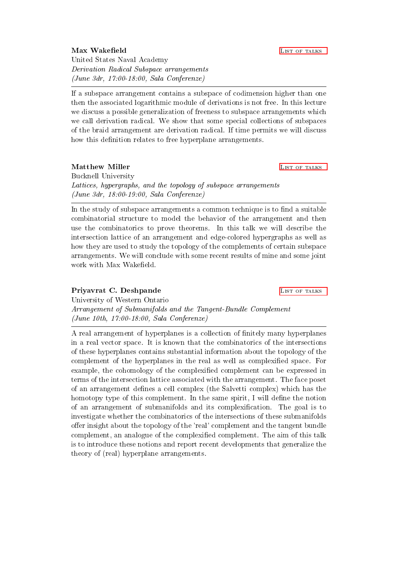United States Naval Academy Derivation Radical Subspace arrangements (June 3dr, 17:00-18:00, Sala Conferenze)

If a subspace arrangement contains a subspace of codimension higher than one then the associated logarithmic module of derivations is not free. In this lecture we discuss a possible generalization of freeness to subspace arrangements which we call derivation radical. We show that some special collections of subspaces of the braid arrangement are derivation radical. If time permits we will discuss how this definition relates to free hyperplane arrangements.

<span id="page-4-1"></span>Matthew Miller **[List of talks](#page-0-0)** List of talks Bucknell University Lattices, hypergraphs, and the topology of subspace arrangements (June 3dr, 18:00-19:00, Sala Conferenze)

In the study of subspace arrangements a common technique is to find a suitable combinatorial structure to model the behavior of the arrangement and then use the combinatorics to prove theorems. In this talk we will describe the intersection lattice of an arrangement and edge-colored hypergraphs as well as how they are used to study the topology of the complements of certain subspace arrangements. We will conclude with some recent results of mine and some joint work with Max Wakefield.

### <span id="page-4-2"></span>Priyavrat C. Deshpande LIST OF TALKS

University of Western Ontario Arrangement of Submanifolds and the Tangent-Bundle Complement (June 10th, 17:00-18:00, Sala Conferenze)

A real arrangement of hyperplanes is a collection of finitely many hyperplanes in a real vector space. It is known that the combinatorics of the intersections of these hyperplanes contains substantial information about the topology of the complement of the hyperplanes in the real as well as complexified space. For example, the cohomology of the complexified complement can be expressed in terms of the intersection lattice associated with the arrangement. The face poset of an arrangement defines a cell complex (the Salvetti complex) which has the homotopy type of this complement. In the same spirit, I will define the notion of an arrangement of submanifolds and its complexification. The goal is to investigate whether the combinatorics of the intersections of these submanifolds offer insight about the topology of the 'real' complement and the tangent bundle complement, an analogue of the complexified complement. The aim of this talk is to introduce these notions and report recent developments that generalize the theory of (real) hyperplane arrangements.

#### <span id="page-4-0"></span>Max Wakefield **LIST OF TALKS**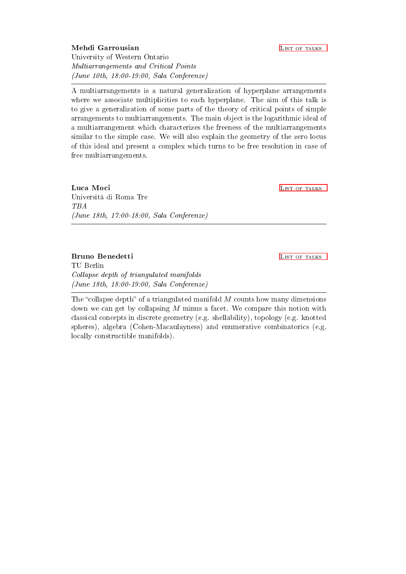<span id="page-5-0"></span>Mehdi Garrousian and the contract of the contract of the contract of the contract of the contract of the contract of the contract of the contract of the contract of the contract of the contract of the contract of the contr University of Western Ontario Multiarrangements and Critical Points (June 10th, 18:00-19:00, Sala Conferenze)

A multiarrangements is a natural generalization of hyperplane arrangements where we associate multiplicities to each hyperplane. The aim of this talk is to give a generalization of some parts of the theory of critical points of simple arrangements to multiarrangements. The main object is the logarithmic ideal of a multiarrangement which characterizes the freeness of the multiarrangements similar to the simple case. We will also explain the geometry of the zero locus of this ideal and present a complex which turns to be free resolution in case of free multiarrangements.

<span id="page-5-1"></span>Luca Moci **Luca Moci** Luca Contract of the talks of talks and the talks of the talks of talks of talks of talks of talks of talks of talks of talks of talks of talks of talks of talks of talks of talks of talks of talks of Università di Roma Tre TBA (June 18th, 17:00-18:00, Sala Conferenze)

<span id="page-5-2"></span>Bruno Benedetti LIST OF TALKS TU Berlin Collapse depth of triangulated manifolds (June 18th, 18:00-19:00, Sala Conferenze)

The "collapse depth" of a triangulated manifold  $M$  counts how many dimensions down we can get by collapsing  $M$  minus a facet. We compare this notion with classical concepts in discrete geometry (e.g. shellability), topology (e.g. knotted spheres), algebra (Cohen-Macaulayness) and enumerative combinatorics (e.g. locally constructible manifolds).